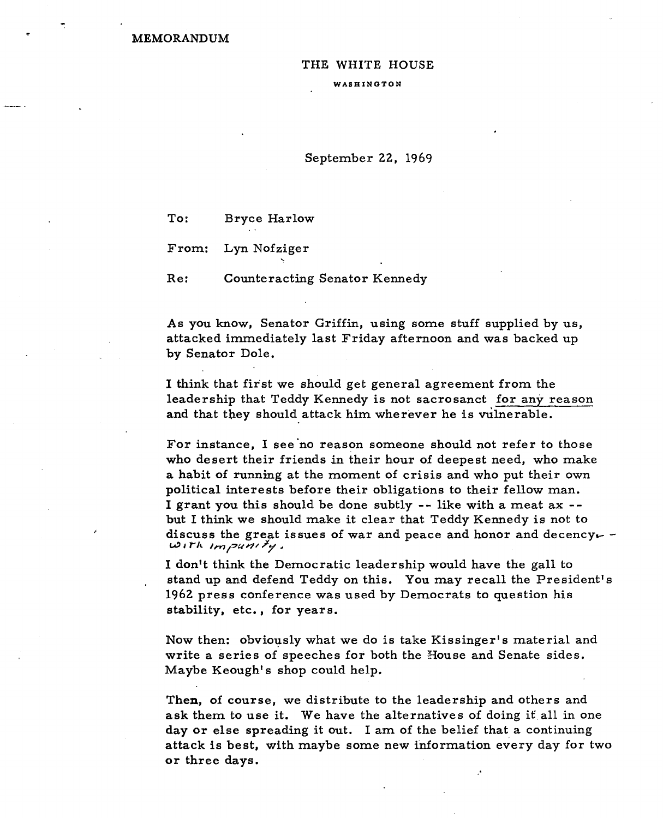**MEMORANDUM** 

## THE WHITE HOUSE

WASHINGTON

## September 22, 1969

To: Bryce Harlow

From: Lyn Nofziger

Re: Counteracting Senator Kennedy

As you know, Senator Griffin, using some stuff supplied by us, attacked immediately last Friday afternoon and was backed up by Senator Dole.

I think that first we should get general agreement from the leadership that Teddy Kennedy is not sacrosanct for any reason and that they should attack him wherever he is vulnerable.

For instance, I see 'no reason someone should not refer to those who desert their friends in their hour of deepest need, who make a habit of running at the moment of crisis and who put their own political interests before their obligations to their fellow man. I grant you this should be done subtly -- like with a meat ax - but I think we should make it clear that Teddy Kennedy is not to discuss the great issues of war and peace and honor and decency.- -<br> $\omega_1 r h$   $\omega_1 \gamma_2 \omega_1 r' k''$ .

I don't think the Democratic leadership would have the gall to stand up and defend Teddy on this. You may recall the President's 1962 press conference was used by Democrats to question his stability, etc., for years.

Now then: obviously what we do is take Kissinger's material and write a series of speeches for both the House and Senate sides. Maybe Keough's shop could help.

Then, of course, we distribute to the leadership and others and ask them to use it. We have the alternatives of doing it all in one day or else spreading it out. I am of the belief that a continuing attack is best, with maybe some new fnformation every day for two or three days.

.'